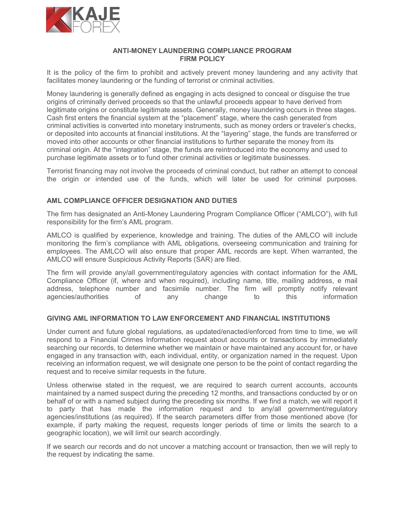

## ANTI-MONEY LAUNDERING COMPLIANCE PROGRAM FIRM POLICY

It is the policy of the firm to prohibit and actively prevent money laundering and any activity that facilitates money laundering or the funding of terrorist or criminal activities.

Money laundering is generally defined as engaging in acts designed to conceal or disguise the true origins of criminally derived proceeds so that the unlawful proceeds appear to have derived from legitimate origins or constitute legitimate assets. Generally, money laundering occurs in three stages. Cash first enters the financial system at the "placement" stage, where the cash generated from criminal activities is converted into monetary instruments, such as money orders or traveler's checks, or deposited into accounts at financial institutions. At the "layering" stage, the funds are transferred or moved into other accounts or other financial institutions to further separate the money from its criminal origin. At the "integration" stage, the funds are reintroduced into the economy and used to purchase legitimate assets or to fund other criminal activities or legitimate businesses.

Terrorist financing may not involve the proceeds of criminal conduct, but rather an attempt to conceal the origin or intended use of the funds, which will later be used for criminal purposes.

## AML COMPLIANCE OFFICER DESIGNATION AND DUTIES

The firm has designated an Anti-Money Laundering Program Compliance Officer ("AMLCO"), with full responsibility for the firm's AML program.

AMLCO is qualified by experience, knowledge and training. The duties of the AMLCO will include monitoring the firm's compliance with AML obligations, overseeing communication and training for employees. The AMLCO will also ensure that proper AML records are kept. When warranted, the AMLCO will ensure Suspicious Activity Reports (SAR) are filed.

The firm will provide any/all government/regulatory agencies with contact information for the AML Compliance Officer (if, where and when required), including name, title, mailing address, e mail address, telephone number and facsimile number. The firm will promptly notify relevant agencies/authorities of any change to this information

## GIVING AML INFORMATION TO LAW ENFORCEMENT AND FINANCIAL INSTITUTIONS

Under current and future global regulations, as updated/enacted/enforced from time to time, we will respond to a Financial Crimes Information request about accounts or transactions by immediately searching our records, to determine whether we maintain or have maintained any account for, or have engaged in any transaction with, each individual, entity, or organization named in the request. Upon receiving an information request, we will designate one person to be the point of contact regarding the request and to receive similar requests in the future.

Unless otherwise stated in the request, we are required to search current accounts, accounts maintained by a named suspect during the preceding 12 months, and transactions conducted by or on behalf of or with a named subject during the preceding six months. If we find a match, we will report it to party that has made the information request and to any/all government/regulatory agencies/institutions (as required). If the search parameters differ from those mentioned above (for example, if party making the request, requests longer periods of time or limits the search to a geographic location), we will limit our search accordingly.

If we search our records and do not uncover a matching account or transaction, then we will reply to the request by indicating the same.